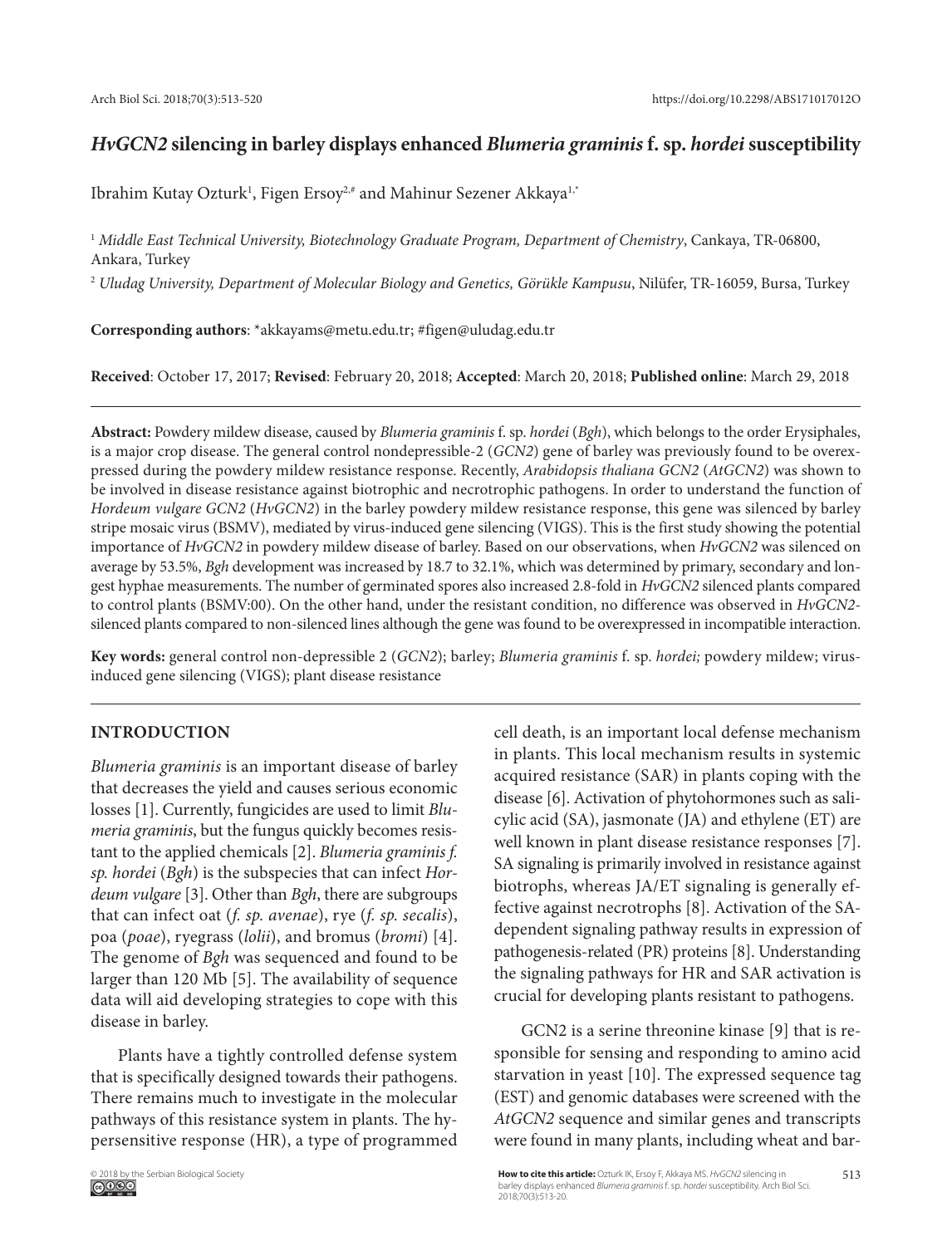# *HvGCN2* **silencing in barley displays enhanced** *Blumeria graminis* **f. sp.** *hordei* **susceptibility**

Ibrahim Kutay Ozturk<sup>1</sup>, Figen Ersoy<sup>2,#</sup> and Mahinur Sezener Akkaya<sup>1,\*</sup>

<sup>1</sup> *Middle East Technical University, Biotechnology Graduate Program, Department of Chemistry*, Cankaya, TR-06800, Ankara, Turkey

<sup>2</sup> *Uludag University, Department of Molecular Biology and Genetics, Görükle Kampusu*, Nilüfer, TR-16059, Bursa, Turkey

**Corresponding authors**: \*akkayams@metu.edu.tr; #figen@uludag.edu.tr

**Received**: October 17, 2017; **Revised**: February 20, 2018; **Accepted**: March 20, 2018; **Published online**: March 29, 2018

**Abstract:** Powdery mildew disease, caused by *Blumeria graminis* f. sp. *hordei* (*Bgh*), which belongs to the order Erysiphales, is a major crop disease. The general control nondepressible-2 (*GCN2*) gene of barley was previously found to be overexpressed during the powdery mildew resistance response. Recently, *Arabidopsis thaliana GCN2* (*AtGCN2*) was shown to be involved in disease resistance against biotrophic and necrotrophic pathogens. In order to understand the function of *Hordeum vulgare GCN2* (*HvGCN2*) in the barley powdery mildew resistance response, this gene was silenced by barley stripe mosaic virus (BSMV), mediated by virus-induced gene silencing (VIGS). This is the first study showing the potential importance of *HvGCN2* in powdery mildew disease of barley. Based on our observations, when *HvGCN2* was silenced on average by 53.5%, *Bgh* development was increased by 18.7 to 32.1%, which was determined by primary, secondary and longest hyphae measurements. The number of germinated spores also increased 2.8-fold in *HvGCN2* silenced plants compared to control plants (BSMV:00). On the other hand, under the resistant condition, no difference was observed in *HvGCN2* silenced plants compared to non-silenced lines although the gene was found to be overexpressed in incompatible interaction.

**Key words:** general control non-depressible 2 (*GCN2*); barley; *Blumeria graminis* f. sp. *hordei;* powdery mildew; virusinduced gene silencing (VIGS); plant disease resistance

# **INTRODUCTION**

*Blumeria graminis* is an important disease of barley that decreases the yield and causes serious economic losses [1]. Currently, fungicides are used to limit *Blumeria graminis*, but the fungus quickly becomes resistant to the applied chemicals [2]. *Blumeria graminis f. sp. hordei* (*Bgh*) is the subspecies that can infect *Hordeum vulgare* [3]. Other than *Bgh*, there are subgroups that can infect oat (*f. sp. avenae*), rye (*f. sp. secalis*), poa (*poae*), ryegrass (*lolii*), and bromus (*bromi*) [4]. The genome of *Bgh* was sequenced and found to be larger than 120 Mb [5]. The availability of sequence data will aid developing strategies to cope with this disease in barley.

Plants have a tightly controlled defense system that is specifically designed towards their pathogens. There remains much to investigate in the molecular pathways of this resistance system in plants. The hypersensitive response (HR), a type of programmed

cell death, is an important local defense mechanism in plants. This local mechanism results in systemic acquired resistance (SAR) in plants coping with the disease [6]. Activation of phytohormones such as salicylic acid (SA), jasmonate (JA) and ethylene (ET) are well known in plant disease resistance responses [7]. SA signaling is primarily involved in resistance against biotrophs, whereas JA/ET signaling is generally effective against necrotrophs [8]. Activation of the SAdependent signaling pathway results in expression of pathogenesis-related (PR) proteins [8]. Understanding the signaling pathways for HR and SAR activation is crucial for developing plants resistant to pathogens.

GCN2 is a serine threonine kinase [9] that is responsible for sensing and responding to amino acid starvation in yeast [10]. The expressed sequence tag (EST) and genomic databases were screened with the *AtGCN2* sequence and similar genes and transcripts were found in many plants, including wheat and bar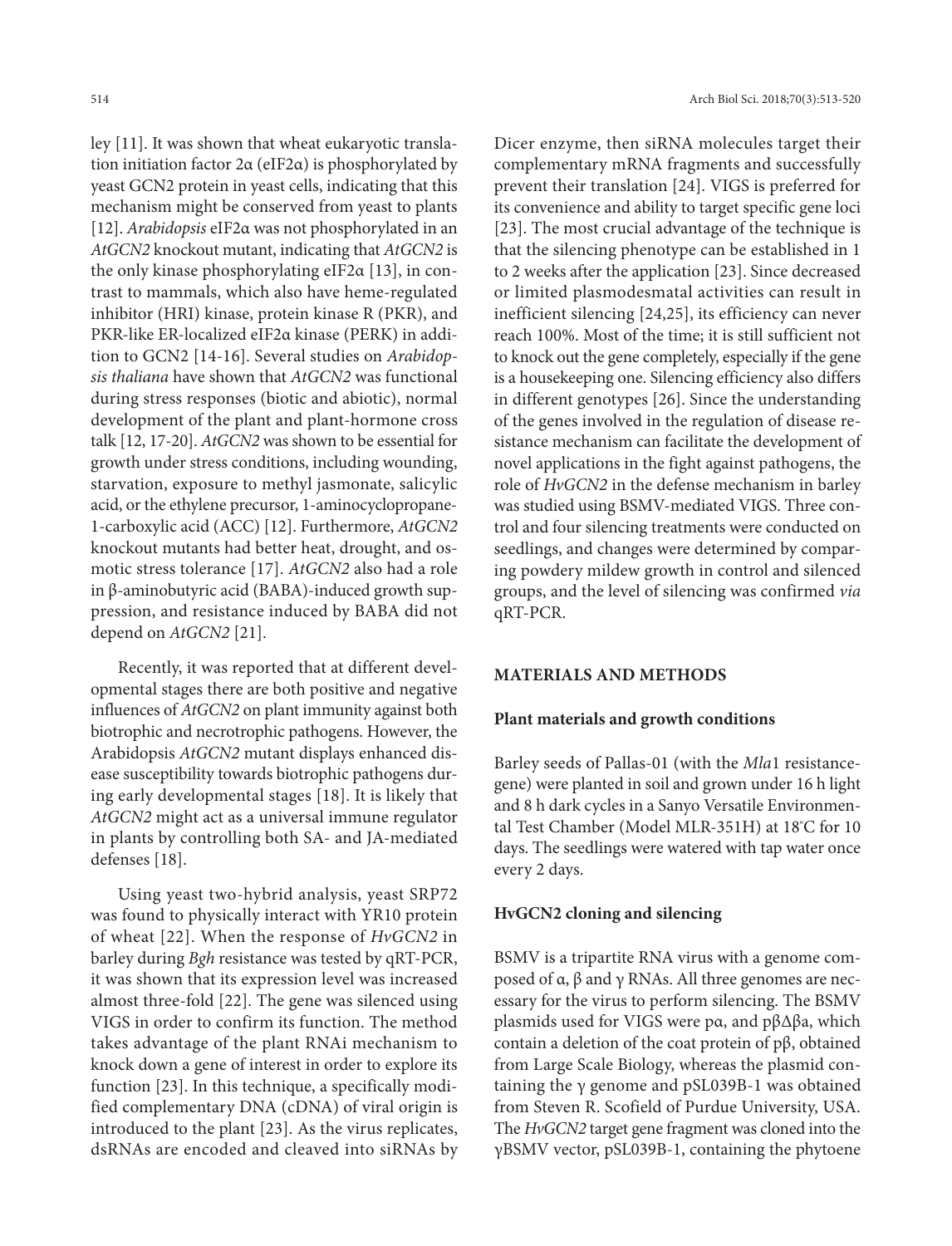ley [11]. It was shown that wheat eukaryotic translation initiation factor 2α (eIF2α) is phosphorylated by yeast GCN2 protein in yeast cells, indicating that this mechanism might be conserved from yeast to plants [12]. *Arabidopsis* eIF2α was not phosphorylated in an *AtGCN2* knockout mutant, indicating that *AtGCN2* is the only kinase phosphorylating eIF2α [13], in contrast to mammals, which also have heme-regulated inhibitor (HRI) kinase, protein kinase R (PKR), and PKR-like ER-localized eIF2α kinase (PERK) in addition to GCN2 [14-16]. Several studies on *Arabidopsis thaliana* have shown that *AtGCN2* was functional during stress responses (biotic and abiotic), normal development of the plant and plant-hormone cross talk [12, 17-20]. *AtGCN2* was shown to be essential for growth under stress conditions, including wounding, starvation, exposure to methyl jasmonate, salicylic acid, or the ethylene precursor, 1-aminocyclopropane-1-carboxylic acid (ACC) [12]. Furthermore, *AtGCN2* knockout mutants had better heat, drought, and osmotic stress tolerance [17]. *AtGCN2* also had a role in β-aminobutyric acid (BABA)-induced growth suppression, and resistance induced by BABA did not depend on *AtGCN2* [21].

Recently, it was reported that at different developmental stages there are both positive and negative influences of *AtGCN2* on plant immunity against both biotrophic and necrotrophic pathogens. However, the Arabidopsis *AtGCN2* mutant displays enhanced disease susceptibility towards biotrophic pathogens during early developmental stages [18]. It is likely that *AtGCN2* might act as a universal immune regulator in plants by controlling both SA- and JA-mediated defenses [18].

Using yeast two-hybrid analysis, yeast SRP72 was found to physically interact with YR10 protein of wheat [22]. When the response of *HvGCN2* in barley during *Bgh* resistance was tested by qRT-PCR, it was shown that its expression level was increased almost three-fold [22]. The gene was silenced using VIGS in order to confirm its function. The method takes advantage of the plant RNAi mechanism to knock down a gene of interest in order to explore its function [23]. In this technique, a specifically modified complementary DNA (cDNA) of viral origin is introduced to the plant [23]. As the virus replicates, dsRNAs are encoded and cleaved into siRNAs by Dicer enzyme, then siRNA molecules target their complementary mRNA fragments and successfully prevent their translation [24]. VIGS is preferred for its convenience and ability to target specific gene loci [23]. The most crucial advantage of the technique is that the silencing phenotype can be established in 1 to 2 weeks after the application [23]. Since decreased or limited plasmodesmatal activities can result in inefficient silencing [24,25], its efficiency can never reach 100%. Most of the time; it is still sufficient not to knock out the gene completely, especially if the gene is a housekeeping one. Silencing efficiency also differs in different genotypes [26]. Since the understanding of the genes involved in the regulation of disease resistance mechanism can facilitate the development of novel applications in the fight against pathogens, the role of *HvGCN2* in the defense mechanism in barley was studied using BSMV-mediated VIGS. Three control and four silencing treatments were conducted on seedlings, and changes were determined by comparing powdery mildew growth in control and silenced groups, and the level of silencing was confirmed *via*  qRT-PCR.

# **MATERIALS AND METHODS**

# **Plant materials and growth conditions**

Barley seeds of Pallas-01 (with the *Mla*1 resistancegene) were planted in soil and grown under 16 h light and 8 h dark cycles in a Sanyo Versatile Environmental Test Chamber (Model MLR-351H) at 18º C for 10 days. The seedlings were watered with tap water once every 2 days.

# **HvGCN2 cloning and silencing**

BSMV is a tripartite RNA virus with a genome composed of  $\alpha$ ,  $\beta$  and  $\gamma$  RNAs. All three genomes are necessary for the virus to perform silencing. The BSMV plasmids used for VIGS were pα, and pβΔβa, which contain a deletion of the coat protein of pβ, obtained from Large Scale Biology, whereas the plasmid containing the γ genome and pSL039B-1 was obtained from Steven R. Scofield of Purdue University, USA. The *HvGCN2* target gene fragment was cloned into the γBSMV vector, pSL039B-1, containing the phytoene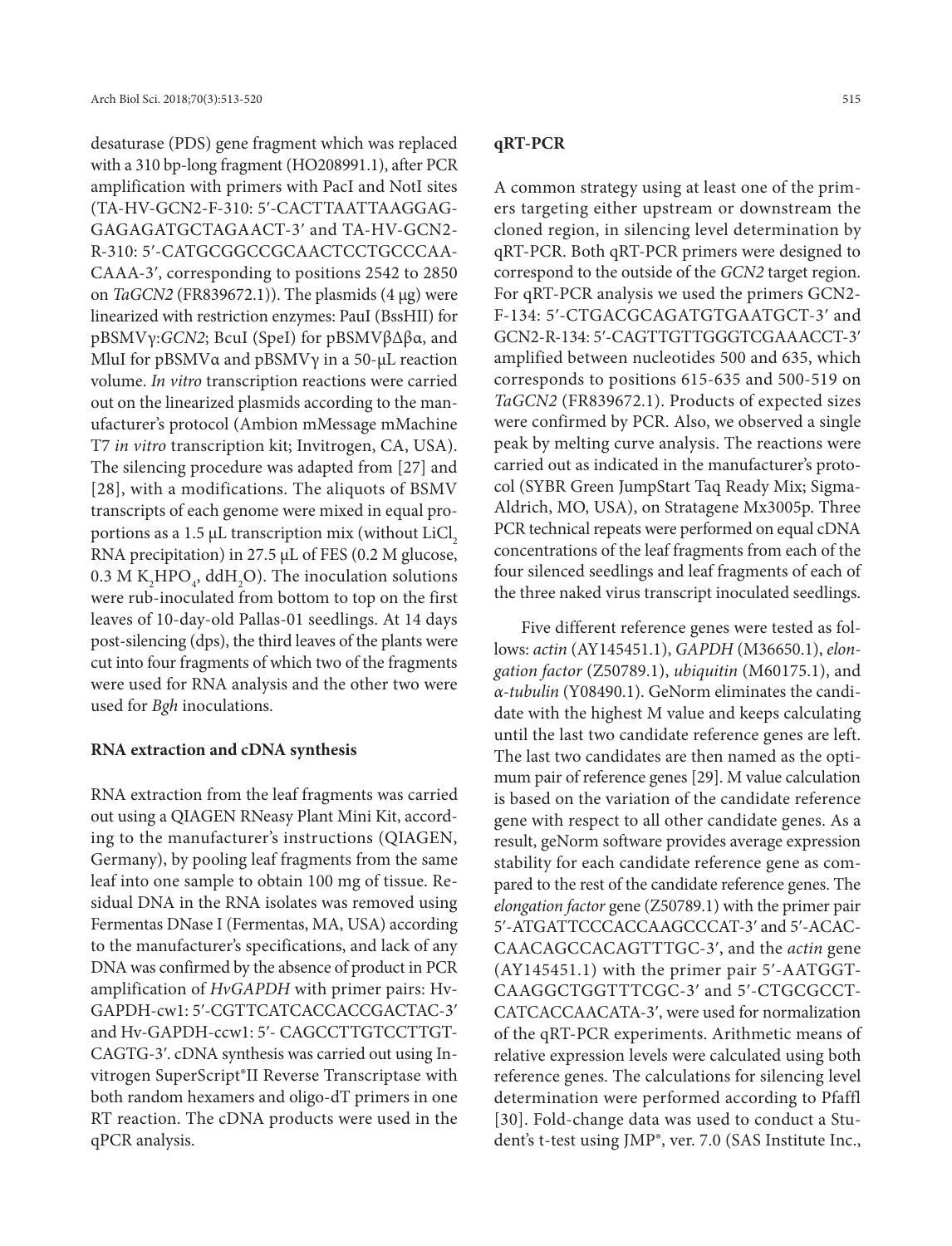desaturase (PDS) gene fragment which was replaced with a 310 bp-long fragment (HO208991.1), after PCR amplification with primers with PacI and NotI sites (TA-HV-GCN2-F-310: 5ʹ-CACTTAATTAAGGAG-GAGAGATGCTAGAACT-3ʹ and TA-HV-GCN2- R-310: 5ʹ-CATGCGGCCGCAACTCCTGCCCAA-CAAA-3ʹ, corresponding to positions 2542 to 2850 on *TaGCN2* (FR839672.1)). The plasmids (4 µg) were linearized with restriction enzymes: PauI (BssHII) for pBSMVγ:*GCN2*; BcuI (SpeI) for pBSMVβΔβα, and MluI for pBSMVα and pBSMVγ in a 50-μL reaction volume. *In vitro* transcription reactions were carried out on the linearized plasmids according to the manufacturer's protocol (Ambion mMessage mMachine T7 *in vitro* transcription kit; Invitrogen, CA, USA). The silencing procedure was adapted from [27] and [28], with a modifications. The aliquots of BSMV transcripts of each genome were mixed in equal proportions as a 1.5  $\mu$ L transcription mix (without LiCl<sub>2</sub> RNA precipitation) in 27.5 μL of FES (0.2 M glucose,  $0.3$  M K<sub>2</sub>HPO<sub>4</sub>, ddH<sub>2</sub>O). The inoculation solutions were rub-inoculated from bottom to top on the first leaves of 10-day-old Pallas-01 seedlings. At 14 days post-silencing (dps), the third leaves of the plants were cut into four fragments of which two of the fragments were used for RNA analysis and the other two were used for *Bgh* inoculations.

## **RNA extraction and cDNA synthesis**

RNA extraction from the leaf fragments was carried out using a QIAGEN RNeasy Plant Mini Kit, according to the manufacturer's instructions (QIAGEN, Germany), by pooling leaf fragments from the same leaf into one sample to obtain 100 mg of tissue. Residual DNA in the RNA isolates was removed using Fermentas DNase I (Fermentas, MA, USA) according to the manufacturer's specifications, and lack of any DNA was confirmed by the absence of product in PCR amplification of *HvGAPDH* with primer pairs: Hv-GAPDH-cw1: 5ʹ-CGTTCATCACCACCGACTAC-3ʹ and Hv-GAPDH-ccw1: 5'- CAGCCTTGTCCTTGT-CAGTG-3ʹ. cDNA synthesis was carried out using Invitrogen SuperScript®II Reverse Transcriptase with both random hexamers and oligo-dT primers in one RT reaction. The cDNA products were used in the qPCR analysis.

# **qRT-PCR**

A common strategy using at least one of the primers targeting either upstream or downstream the cloned region, in silencing level determination by qRT-PCR. Both qRT-PCR primers were designed to correspond to the outside of the *GCN2* target region. For qRT-PCR analysis we used the primers GCN2- F-134: 5ʹ-CTGACGCAGATGTGAATGCT-3ʹ and GCN2-R-134: 5ʹ-CAGTTGTTGGGTCGAAACCT-3ʹ amplified between nucleotides 500 and 635, which corresponds to positions 615-635 and 500-519 on *TaGCN2* (FR839672.1). Products of expected sizes were confirmed by PCR. Also, we observed a single peak by melting curve analysis. The reactions were carried out as indicated in the manufacturer's protocol (SYBR Green JumpStart Taq Ready Mix; Sigma-Aldrich, MO, USA), on Stratagene Mx3005p. Three PCR technical repeats were performed on equal cDNA concentrations of the leaf fragments from each of the four silenced seedlings and leaf fragments of each of the three naked virus transcript inoculated seedlings.

Five different reference genes were tested as follows: *actin* (AY145451.1), *GAPDH* (M36650.1), *elongation factor* (Z50789.1), *ubiquitin* (M60175.1), and *α-tubulin* (Y08490.1). GeNorm eliminates the candidate with the highest M value and keeps calculating until the last two candidate reference genes are left. The last two candidates are then named as the optimum pair of reference genes [29]. M value calculation is based on the variation of the candidate reference gene with respect to all other candidate genes. As a result, geNorm software provides average expression stability for each candidate reference gene as compared to the rest of the candidate reference genes. The *elongation factor* gene (Z50789.1) with the primer pair 5ʹ-ATGATTCCCACCAAGCCCAT-3ʹ and 5ʹ-ACAC-CAACAGCCACAGTTTGC-3ʹ, and the *actin* gene (AY145451.1) with the primer pair 5ʹ-AATGGT-CAAGGCTGGTTTCGC-3ʹ and 5ʹ-CTGCGCCT-CATCACCAACATA-3ʹ, were used for normalization of the qRT-PCR experiments. Arithmetic means of relative expression levels were calculated using both reference genes. The calculations for silencing level determination were performed according to Pfaffl [30]. Fold-change data was used to conduct a Student's t-test using JMP®, ver. 7.0 (SAS Institute Inc.,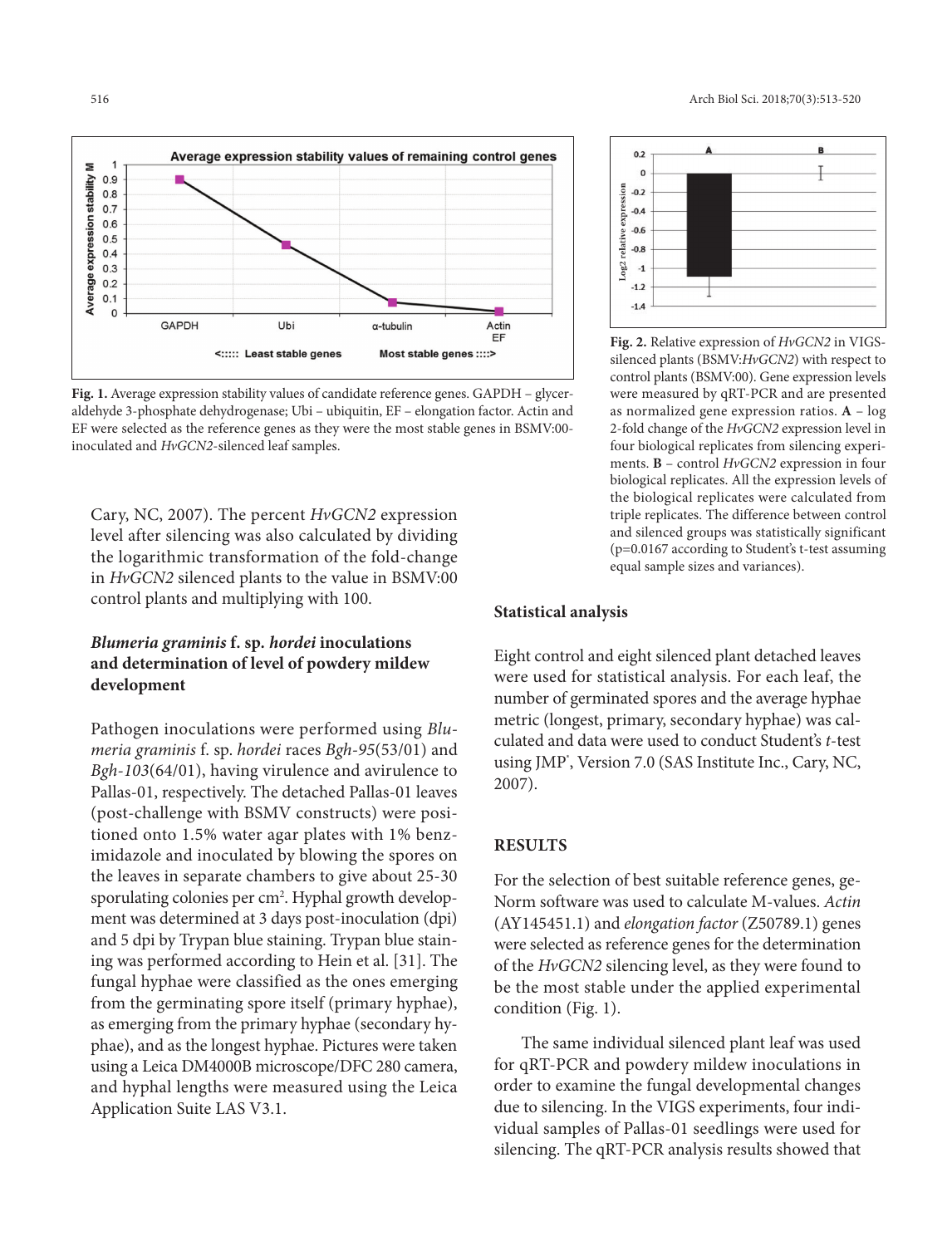

**Fig. 1.** Average expression stability values of candidate reference genes. GAPDH – glyceraldehyde 3-phosphate dehydrogenase; Ubi – ubiquitin, EF – elongation factor. Actin and EF were selected as the reference genes as they were the most stable genes in BSMV:00 inoculated and *HvGCN2*-silenced leaf samples.

Cary, NC, 2007). The percent *HvGCN2* expression level after silencing was also calculated by dividing the logarithmic transformation of the fold-change in *HvGCN2* silenced plants to the value in BSMV:00 control plants and multiplying with 100.

# *Blumeria graminis* **f. sp***. hordei* **inoculations and determination of level of powdery mildew development**

Pathogen inoculations were performed using *Blumeria graminis* f. sp. *hordei* races *Bgh-95*(53/01) and *Bgh-103*(64/01), having virulence and avirulence to Pallas-01, respectively. The detached Pallas-01 leaves (post-challenge with BSMV constructs) were positioned onto 1.5% water agar plates with 1% benzimidazole and inoculated by blowing the spores on the leaves in separate chambers to give about 25-30 sporulating colonies per cm². Hyphal growth development was determined at 3 days post-inoculation (dpi) and 5 dpi by Trypan blue staining. Trypan blue staining was performed according to Hein et al. [31]. The fungal hyphae were classified as the ones emerging from the germinating spore itself (primary hyphae), as emerging from the primary hyphae (secondary hyphae), and as the longest hyphae. Pictures were taken using a Leica DM4000B microscope/DFC 280 camera, and hyphal lengths were measured using the Leica Application Suite LAS V3.1.



**Fig. 2.** Relative expression of *HvGCN2* in VIGSsilenced plants (BSMV:*HvGCN2*) with respect to control plants (BSMV:00). Gene expression levels were measured by qRT-PCR and are presented as normalized gene expression ratios. **A** – log 2-fold change of the *HvGCN2* expression level in four biological replicates from silencing experiments. **B** – control *HvGCN2* expression in four biological replicates. All the expression levels of the biological replicates were calculated from triple replicates. The difference between control and silenced groups was statistically significant (p=0.0167 according to Student's t-test assuming equal sample sizes and variances).

# **Statistical analysis**

Eight control and eight silenced plant detached leaves were used for statistical analysis. For each leaf, the number of germinated spores and the average hyphae metric (longest, primary, secondary hyphae) was calculated and data were used to conduct Student's *t*-test using JMP<sup>\*</sup>, Version 7.0 (SAS Institute Inc., Cary, NC, 2007).

# **RESULTS**

For the selection of best suitable reference genes, ge-Norm software was used to calculate M-values. *Actin* (AY145451.1) and *elongation factor* (Z50789.1) genes were selected as reference genes for the determination of the *HvGCN2* silencing level, as they were found to be the most stable under the applied experimental condition (Fig. 1).

The same individual silenced plant leaf was used for qRT-PCR and powdery mildew inoculations in order to examine the fungal developmental changes due to silencing. In the VIGS experiments, four individual samples of Pallas-01 seedlings were used for silencing. The qRT-PCR analysis results showed that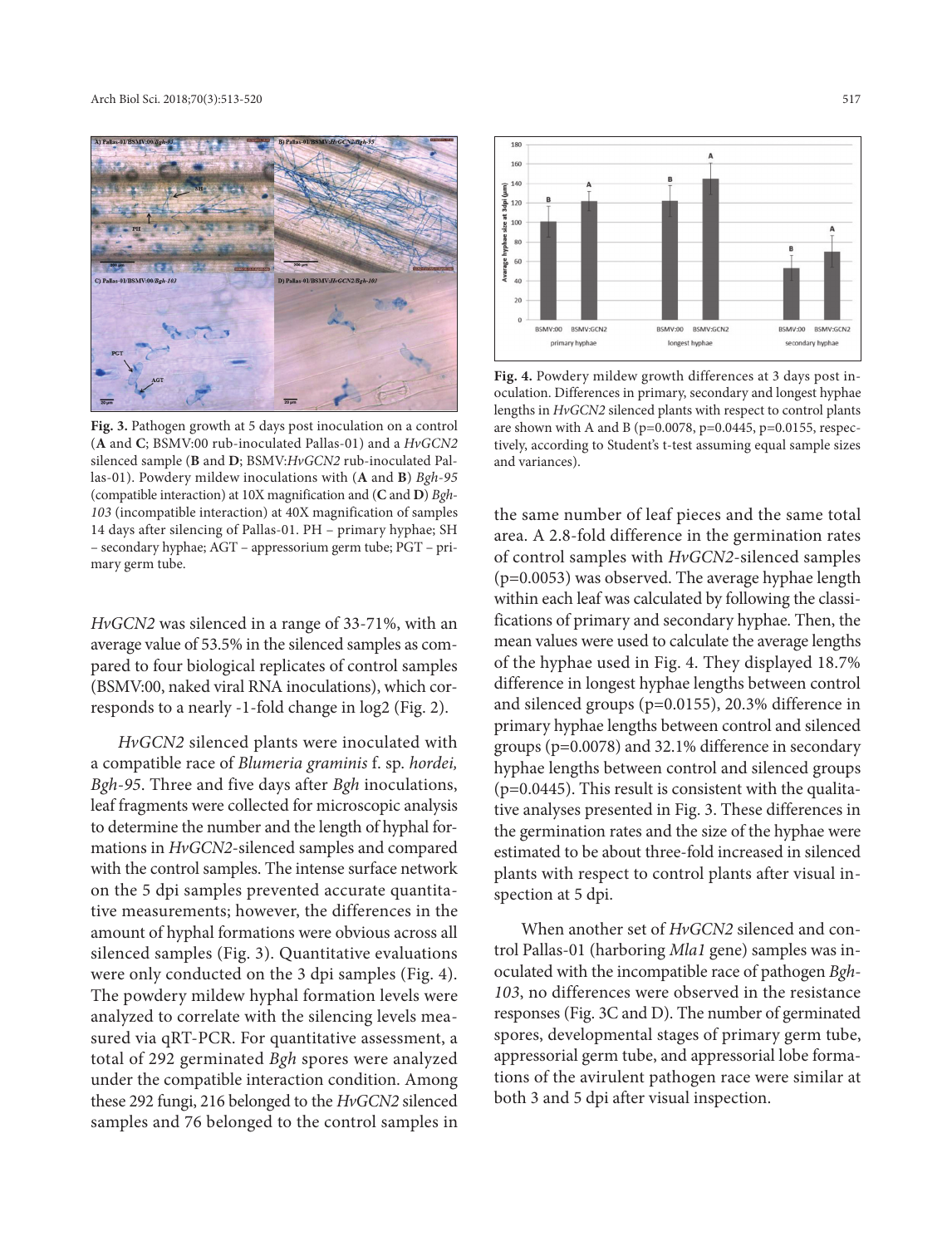

**Fig. 3.** Pathogen growth at 5 days post inoculation on a control (**A** and **C**; BSMV:00 rub-inoculated Pallas-01) and a *HvGCN2* silenced sample (**B** and **D**; BSMV:*HvGCN2* rub-inoculated Pallas-01). Powdery mildew inoculations with (**A** and **B**) *Bgh-95* (compatible interaction) at 10X magnification and (**C** and **D**) *Bgh-103* (incompatible interaction) at 40X magnification of samples 14 days after silencing of Pallas-01. PH – primary hyphae; SH – secondary hyphae; AGT – appressorium germ tube; PGT – primary germ tube.

*HvGCN2* was silenced in a range of 33-71%, with an average value of 53.5% in the silenced samples as compared to four biological replicates of control samples (BSMV:00, naked viral RNA inoculations), which corresponds to a nearly -1-fold change in log2 (Fig. 2).

*HvGCN2* silenced plants were inoculated with a compatible race of *Blumeria graminis* f. sp. *hordei, Bgh-95*. Three and five days after *Bgh* inoculations, leaf fragments were collected for microscopic analysis to determine the number and the length of hyphal formations in *HvGCN2*-silenced samples and compared with the control samples. The intense surface network on the 5 dpi samples prevented accurate quantitative measurements; however, the differences in the amount of hyphal formations were obvious across all silenced samples (Fig. 3). Quantitative evaluations were only conducted on the 3 dpi samples (Fig. 4). The powdery mildew hyphal formation levels were analyzed to correlate with the silencing levels measured via qRT-PCR. For quantitative assessment, a total of 292 germinated *Bgh* spores were analyzed under the compatible interaction condition. Among these 292 fungi, 216 belonged to the *HvGCN2* silenced samples and 76 belonged to the control samples in



**Fig. 4.** Powdery mildew growth differences at 3 days post inoculation. Differences in primary, secondary and longest hyphae lengths in *HvGCN2* silenced plants with respect to control plants are shown with A and B ( $p=0.0078$ ,  $p=0.0445$ ,  $p=0.0155$ , respectively, according to Student's t-test assuming equal sample sizes and variances).

the same number of leaf pieces and the same total area. A 2.8-fold difference in the germination rates of control samples with *HvGCN2*-silenced samples (p=0.0053) was observed. The average hyphae length within each leaf was calculated by following the classifications of primary and secondary hyphae. Then, the mean values were used to calculate the average lengths of the hyphae used in Fig. 4. They displayed 18.7% difference in longest hyphae lengths between control and silenced groups (p=0.0155), 20.3% difference in primary hyphae lengths between control and silenced groups (p=0.0078) and 32.1% difference in secondary hyphae lengths between control and silenced groups  $(p=0.0445)$ . This result is consistent with the qualitative analyses presented in Fig. 3. These differences in the germination rates and the size of the hyphae were estimated to be about three-fold increased in silenced plants with respect to control plants after visual inspection at 5 dpi.

When another set of *HvGCN2* silenced and control Pallas-01 (harboring *Mla1* gene) samples was inoculated with the incompatible race of pathogen *Bgh-103*, no differences were observed in the resistance responses (Fig. 3C and D). The number of germinated spores, developmental stages of primary germ tube, appressorial germ tube, and appressorial lobe formations of the avirulent pathogen race were similar at both 3 and 5 dpi after visual inspection.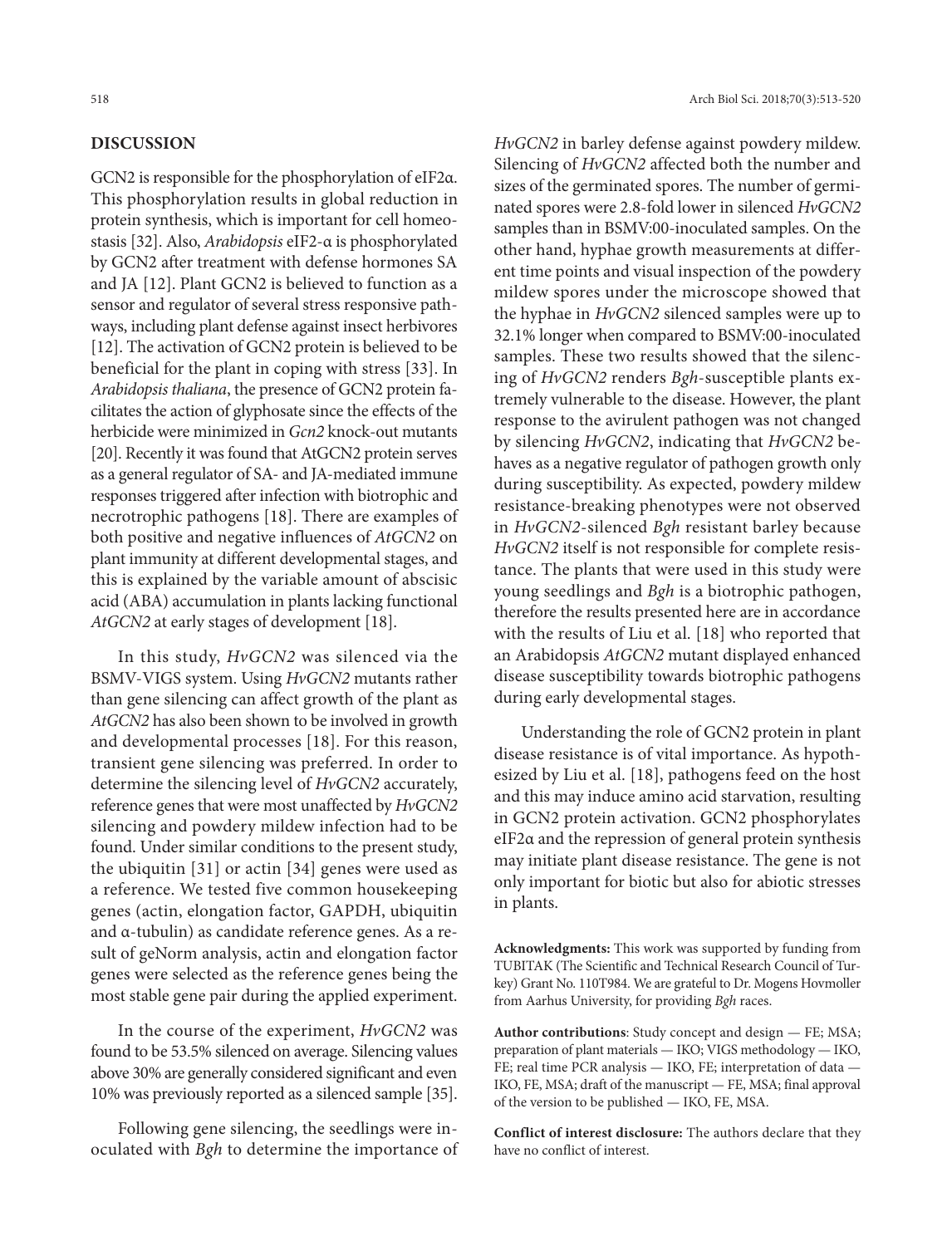# **DISCUSSION**

GCN2 is responsible for the phosphorylation of eIF2α. This phosphorylation results in global reduction in protein synthesis, which is important for cell homeostasis [32]. Also, *Arabidopsis* eIF2-α is phosphorylated by GCN2 after treatment with defense hormones SA and JA [12]. Plant GCN2 is believed to function as a sensor and regulator of several stress responsive pathways, including plant defense against insect herbivores [12]. The activation of GCN2 protein is believed to be beneficial for the plant in coping with stress [33]. In *Arabidopsis thaliana*, the presence of GCN2 protein facilitates the action of glyphosate since the effects of the herbicide were minimized in *Gcn2* knock-out mutants [20]. Recently it was found that AtGCN2 protein serves as a general regulator of SA- and JA-mediated immune responses triggered after infection with biotrophic and necrotrophic pathogens [18]. There are examples of both positive and negative influences of *AtGCN2* on plant immunity at different developmental stages, and this is explained by the variable amount of abscisic acid (ABA) accumulation in plants lacking functional *AtGCN2* at early stages of development [18].

In this study, *HvGCN2* was silenced via the BSMV-VIGS system. Using *HvGCN2* mutants rather than gene silencing can affect growth of the plant as *AtGCN2* has also been shown to be involved in growth and developmental processes [18]. For this reason, transient gene silencing was preferred. In order to determine the silencing level of *HvGCN2* accurately, reference genes that were most unaffected by *HvGCN2* silencing and powdery mildew infection had to be found. Under similar conditions to the present study, the ubiquitin [31] or actin [34] genes were used as a reference. We tested five common housekeeping genes (actin, elongation factor, GAPDH, ubiquitin and α-tubulin) as candidate reference genes. As a result of geNorm analysis, actin and elongation factor genes were selected as the reference genes being the most stable gene pair during the applied experiment.

In the course of the experiment, *HvGCN2* was found to be 53.5% silenced on average. Silencing values above 30% are generally considered significant and even 10% was previously reported as a silenced sample [35].

Following gene silencing, the seedlings were inoculated with *Bgh* to determine the importance of *HvGCN2* in barley defense against powdery mildew. Silencing of *HvGCN2* affected both the number and sizes of the germinated spores. The number of germinated spores were 2.8-fold lower in silenced *HvGCN2* samples than in BSMV:00-inoculated samples. On the other hand, hyphae growth measurements at different time points and visual inspection of the powdery mildew spores under the microscope showed that the hyphae in *HvGCN2* silenced samples were up to 32.1% longer when compared to BSMV:00-inoculated samples. These two results showed that the silencing of *HvGCN2* renders *Bgh*-susceptible plants extremely vulnerable to the disease. However, the plant response to the avirulent pathogen was not changed by silencing *HvGCN2*, indicating that *HvGCN2* behaves as a negative regulator of pathogen growth only during susceptibility. As expected, powdery mildew resistance-breaking phenotypes were not observed in *HvGCN2*-silenced *Bgh* resistant barley because *HvGCN2* itself is not responsible for complete resistance. The plants that were used in this study were young seedlings and *Bgh* is a biotrophic pathogen, therefore the results presented here are in accordance with the results of Liu et al. [18] who reported that an Arabidopsis *AtGCN2* mutant displayed enhanced disease susceptibility towards biotrophic pathogens during early developmental stages.

Understanding the role of GCN2 protein in plant disease resistance is of vital importance. As hypothesized by Liu et al. [18], pathogens feed on the host and this may induce amino acid starvation, resulting in GCN2 protein activation. GCN2 phosphorylates eIF2α and the repression of general protein synthesis may initiate plant disease resistance. The gene is not only important for biotic but also for abiotic stresses in plants.

**Acknowledgments:** This work was supported by funding from TUBITAK (The Scientific and Technical Research Council of Turkey) Grant No. 110T984. We are grateful to Dr. Mogens Hovmoller from Aarhus University, for providing *Bgh* races.

**Author contributions**: Study concept and design — FE; MSA; preparation of plant materials — IKO; VIGS methodology — IKO, FE; real time PCR analysis — IKO, FE; interpretation of data — IKO, FE, MSA; draft of the manuscript — FE, MSA; final approval of the version to be published — IKO, FE, MSA.

**Conflict of interest disclosure:** The authors declare that they have no conflict of interest.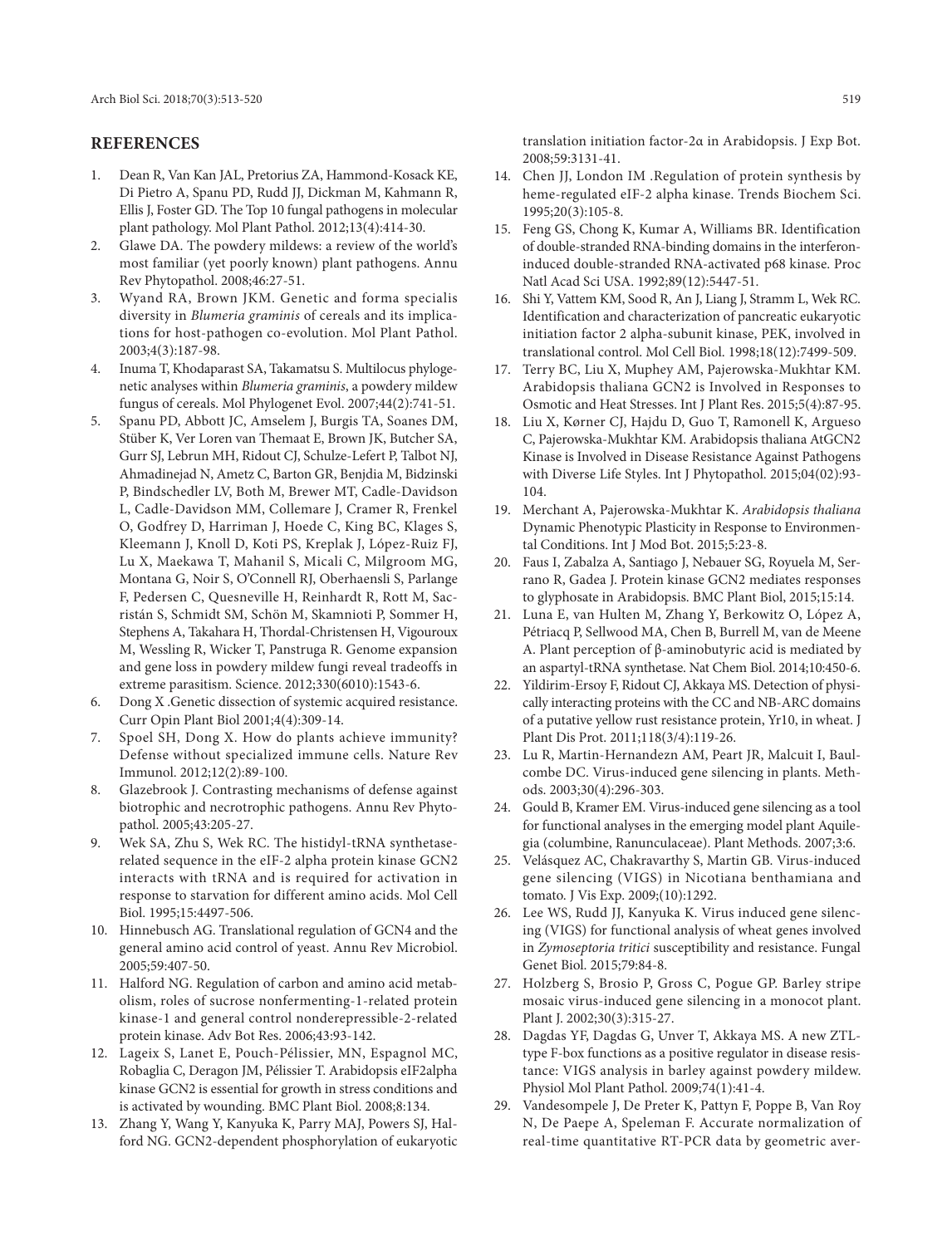### **REFERENCES**

- 1. Dean R, Van Kan JAL, Pretorius ZA, Hammond-Kosack KE, Di Pietro A, Spanu PD, Rudd JJ, Dickman M, Kahmann R, Ellis J, Foster GD. The Top 10 fungal pathogens in molecular plant pathology. Mol Plant Pathol. 2012;13(4):414-30.
- 2. Glawe DA. The powdery mildews: a review of the world's most familiar (yet poorly known) plant pathogens. Annu Rev Phytopathol. 2008;46:27-51.
- 3. Wyand RA, Brown JKM. Genetic and forma specialis diversity in *Blumeria graminis* of cereals and its implications for host-pathogen co-evolution. Mol Plant Pathol. 2003;4(3):187-98.
- 4. Inuma T, Khodaparast SA, Takamatsu S. Multilocus phylogenetic analyses within *Blumeria graminis*, a powdery mildew fungus of cereals. Mol Phylogenet Evol. 2007;44(2):741-51.
- 5. Spanu PD, Abbott JC, Amselem J, Burgis TA, Soanes DM, Stüber K, Ver Loren van Themaat E, Brown JK, Butcher SA, Gurr SJ, Lebrun MH, Ridout CJ, Schulze-Lefert P, Talbot NJ, Ahmadinejad N, Ametz C, Barton GR, Benjdia M, Bidzinski P, Bindschedler LV, Both M, Brewer MT, Cadle-Davidson L, Cadle-Davidson MM, Collemare J, Cramer R, Frenkel O, Godfrey D, Harriman J, Hoede C, King BC, Klages S, Kleemann J, Knoll D, Koti PS, Kreplak J, López-Ruiz FJ, Lu X, Maekawa T, Mahanil S, Micali C, Milgroom MG, Montana G, Noir S, O'Connell RJ, Oberhaensli S, Parlange F, Pedersen C, Quesneville H, Reinhardt R, Rott M, Sacristán S, Schmidt SM, Schön M, Skamnioti P, Sommer H, Stephens A, Takahara H, Thordal-Christensen H, Vigouroux M, Wessling R, Wicker T, Panstruga R. Genome expansion and gene loss in powdery mildew fungi reveal tradeoffs in extreme parasitism. Science. 2012;330(6010):1543-6.
- 6. Dong X .Genetic dissection of systemic acquired resistance. Curr Opin Plant Biol 2001;4(4):309-14.
- 7. Spoel SH, Dong X. How do plants achieve immunity? Defense without specialized immune cells. Nature Rev Immunol. 2012;12(2):89-100.
- 8. Glazebrook J. Contrasting mechanisms of defense against biotrophic and necrotrophic pathogens. Annu Rev Phytopathol. 2005;43:205-27.
- Wek SA, Zhu S, Wek RC. The histidyl-tRNA synthetaserelated sequence in the eIF-2 alpha protein kinase GCN2 interacts with tRNA and is required for activation in response to starvation for different amino acids. Mol Cell Biol. 1995;15:4497-506.
- 10. Hinnebusch AG. Translational regulation of GCN4 and the general amino acid control of yeast. Annu Rev Microbiol. 2005;59:407-50.
- 11. Halford NG. Regulation of carbon and amino acid metabolism, roles of sucrose nonfermenting-1-related protein kinase-1 and general control nonderepressible-2-related protein kinase. Adv Bot Res. 2006;43:93-142.
- 12. Lageix S, Lanet E, Pouch-Pélissier, MN, Espagnol MC, Robaglia C, Deragon JM, Pélissier T. Arabidopsis eIF2alpha kinase GCN2 is essential for growth in stress conditions and is activated by wounding. BMC Plant Biol. 2008;8:134.
- 13. Zhang Y, Wang Y, Kanyuka K, Parry MAJ, Powers SJ, Halford NG. GCN2-dependent phosphorylation of eukaryotic

translation initiation factor-2α in Arabidopsis. J Exp Bot. 2008;59:3131-41.

- 14. Chen JJ, London IM .Regulation of protein synthesis by heme-regulated eIF-2 alpha kinase. Trends Biochem Sci. 1995;20(3):105-8.
- 15. Feng GS, Chong K, Kumar A, Williams BR. Identification of double-stranded RNA-binding domains in the interferoninduced double-stranded RNA-activated p68 kinase. Proc Natl Acad Sci USA. 1992;89(12):5447-51.
- 16. Shi Y, Vattem KM, Sood R, An J, Liang J, Stramm L, Wek RC. Identification and characterization of pancreatic eukaryotic initiation factor 2 alpha-subunit kinase, PEK, involved in translational control. Mol Cell Biol. 1998;18(12):7499-509.
- 17. Terry BC, Liu X, Muphey AM, Pajerowska-Mukhtar KM. Arabidopsis thaliana GCN2 is Involved in Responses to Osmotic and Heat Stresses. Int J Plant Res. 2015;5(4):87-95.
- 18. Liu X, Kørner CJ, Hajdu D, Guo T, Ramonell K, Argueso C, Pajerowska-Mukhtar KM. Arabidopsis thaliana AtGCN2 Kinase is Involved in Disease Resistance Against Pathogens with Diverse Life Styles. Int J Phytopathol. 2015;04(02):93- 104.
- 19. Merchant A, Pajerowska-Mukhtar K. *Arabidopsis thaliana* Dynamic Phenotypic Plasticity in Response to Environmental Conditions. Int J Mod Bot. 2015;5:23-8.
- 20. Faus I, Zabalza A, Santiago J, Nebauer SG, Royuela M, Serrano R, Gadea J. Protein kinase GCN2 mediates responses to glyphosate in Arabidopsis. BMC Plant Biol, 2015;15:14.
- 21. Luna E, van Hulten M, Zhang Y, Berkowitz O, López A, Pétriacq P, Sellwood MA, Chen B, Burrell M, van de Meene A. Plant perception of β-aminobutyric acid is mediated by an aspartyl-tRNA synthetase. Nat Chem Biol. 2014;10:450-6.
- 22. Yildirim-Ersoy F, Ridout CJ, Akkaya MS. Detection of physically interacting proteins with the CC and NB-ARC domains of a putative yellow rust resistance protein, Yr10, in wheat. J Plant Dis Prot. 2011;118(3/4):119-26.
- 23. Lu R, Martin-Hernandezn AM, Peart JR, Malcuit I, Baulcombe DC. Virus-induced gene silencing in plants. Methods. 2003;30(4):296-303.
- 24. Gould B, Kramer EM. Virus-induced gene silencing as a tool for functional analyses in the emerging model plant Aquilegia (columbine, Ranunculaceae). Plant Methods. 2007;3:6.
- 25. Velásquez AC, Chakravarthy S, Martin GB. Virus-induced gene silencing (VIGS) in Nicotiana benthamiana and tomato. J Vis Exp. 2009;(10):1292.
- 26. Lee WS, Rudd JJ, Kanyuka K. Virus induced gene silencing (VIGS) for functional analysis of wheat genes involved in *Zymoseptoria tritici* susceptibility and resistance. Fungal Genet Biol. 2015;79:84-8.
- 27. Holzberg S, Brosio P, Gross C, Pogue GP. Barley stripe mosaic virus-induced gene silencing in a monocot plant. Plant J. 2002;30(3):315-27.
- 28. Dagdas YF, Dagdas G, Unver T, Akkaya MS. A new ZTLtype F-box functions as a positive regulator in disease resistance: VIGS analysis in barley against powdery mildew. Physiol Mol Plant Pathol. 2009;74(1):41-4.
- 29. Vandesompele J, De Preter K, Pattyn F, Poppe B, Van Roy N, De Paepe A, Speleman F. Accurate normalization of real-time quantitative RT-PCR data by geometric aver-